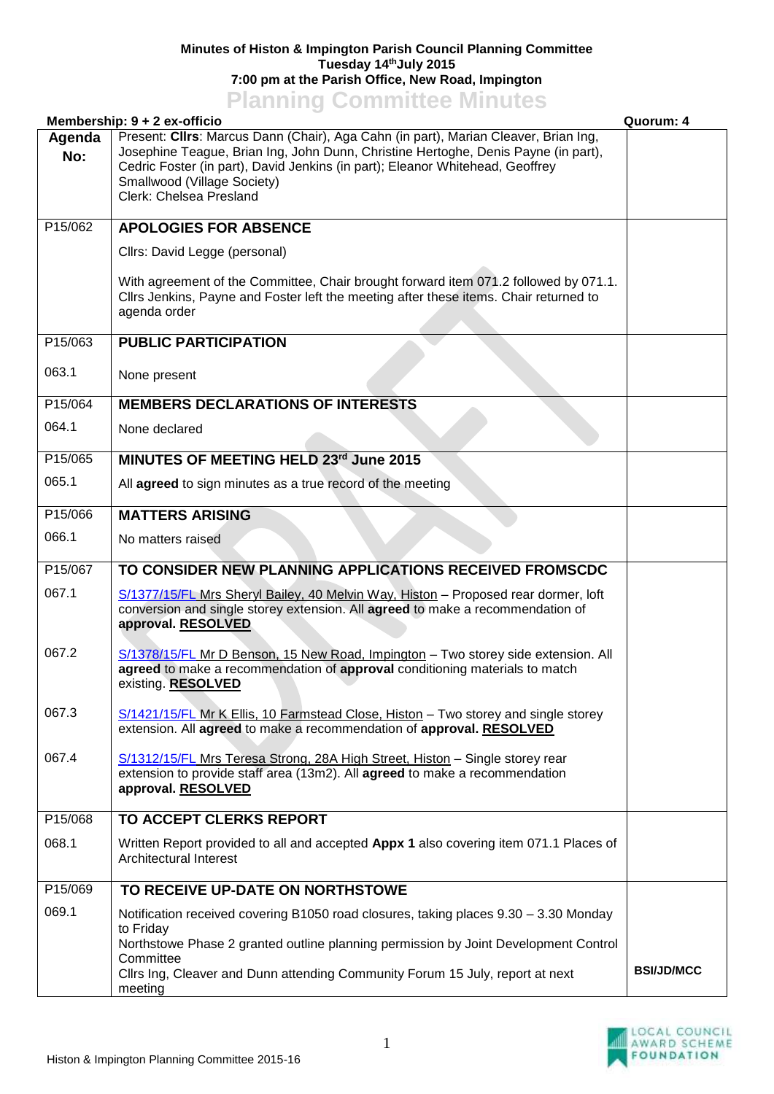## **Minutes of Histon & Impington Parish Council Planning Committee Tuesday 14thJuly 2015 7:00 pm at the Parish Office, New Road, Impington**

## **Planning Committee Minutes**

| Membership: 9 + 2 ex-officio |                                                                                                                                                                                                                                                                                                                      | Quorum: 4         |
|------------------------------|----------------------------------------------------------------------------------------------------------------------------------------------------------------------------------------------------------------------------------------------------------------------------------------------------------------------|-------------------|
| Agenda<br>No:                | Present: Clirs: Marcus Dann (Chair), Aga Cahn (in part), Marian Cleaver, Brian Ing,<br>Josephine Teague, Brian Ing, John Dunn, Christine Hertoghe, Denis Payne (in part),<br>Cedric Foster (in part), David Jenkins (in part); Eleanor Whitehead, Geoffrey<br>Smallwood (Village Society)<br>Clerk: Chelsea Presland |                   |
| P15/062                      | <b>APOLOGIES FOR ABSENCE</b>                                                                                                                                                                                                                                                                                         |                   |
|                              | Cllrs: David Legge (personal)                                                                                                                                                                                                                                                                                        |                   |
|                              | With agreement of the Committee, Chair brought forward item 071.2 followed by 071.1.<br>Cllrs Jenkins, Payne and Foster left the meeting after these items. Chair returned to<br>agenda order                                                                                                                        |                   |
| P15/063                      | <b>PUBLIC PARTICIPATION</b>                                                                                                                                                                                                                                                                                          |                   |
| 063.1                        | None present                                                                                                                                                                                                                                                                                                         |                   |
| P15/064                      | <b>MEMBERS DECLARATIONS OF INTERESTS</b>                                                                                                                                                                                                                                                                             |                   |
| 064.1                        | None declared                                                                                                                                                                                                                                                                                                        |                   |
| P15/065                      | MINUTES OF MEETING HELD 23rd June 2015                                                                                                                                                                                                                                                                               |                   |
| 065.1                        | All agreed to sign minutes as a true record of the meeting                                                                                                                                                                                                                                                           |                   |
| P15/066                      | <b>MATTERS ARISING</b>                                                                                                                                                                                                                                                                                               |                   |
| 066.1                        | No matters raised                                                                                                                                                                                                                                                                                                    |                   |
| P15/067                      | TO CONSIDER NEW PLANNING APPLICATIONS RECEIVED FROMSCDC                                                                                                                                                                                                                                                              |                   |
| 067.1                        | S/1377/15/FL Mrs Sheryl Bailey, 40 Melvin Way, Histon - Proposed rear dormer, loft<br>conversion and single storey extension. All agreed to make a recommendation of<br>approval. RESOLVED                                                                                                                           |                   |
| 067.2                        | S/1378/15/FL Mr D Benson, 15 New Road, Impington - Two storey side extension. All<br>agreed to make a recommendation of approval conditioning materials to match<br>existing. RESOLVED                                                                                                                               |                   |
| 067.3                        | S/1421/15/FL Mr K Ellis, 10 Farmstead Close, Histon - Two storey and single storey<br>extension. All agreed to make a recommendation of approval. RESOLVED                                                                                                                                                           |                   |
| 067.4                        | S/1312/15/FL Mrs Teresa Strong, 28A High Street, Histon - Single storey rear<br>extension to provide staff area (13m2). All agreed to make a recommendation<br>approval. RESOLVED                                                                                                                                    |                   |
| P15/068                      | TO ACCEPT CLERKS REPORT                                                                                                                                                                                                                                                                                              |                   |
| 068.1                        | Written Report provided to all and accepted Appx 1 also covering item 071.1 Places of<br>Architectural Interest                                                                                                                                                                                                      |                   |
| P15/069                      | TO RECEIVE UP-DATE ON NORTHSTOWE                                                                                                                                                                                                                                                                                     |                   |
| 069.1                        | Notification received covering B1050 road closures, taking places 9.30 - 3.30 Monday<br>to Friday                                                                                                                                                                                                                    |                   |
|                              | Northstowe Phase 2 granted outline planning permission by Joint Development Control<br>Committee                                                                                                                                                                                                                     |                   |
|                              | Cllrs Ing, Cleaver and Dunn attending Community Forum 15 July, report at next<br>meeting                                                                                                                                                                                                                             | <b>BSI/JD/MCC</b> |